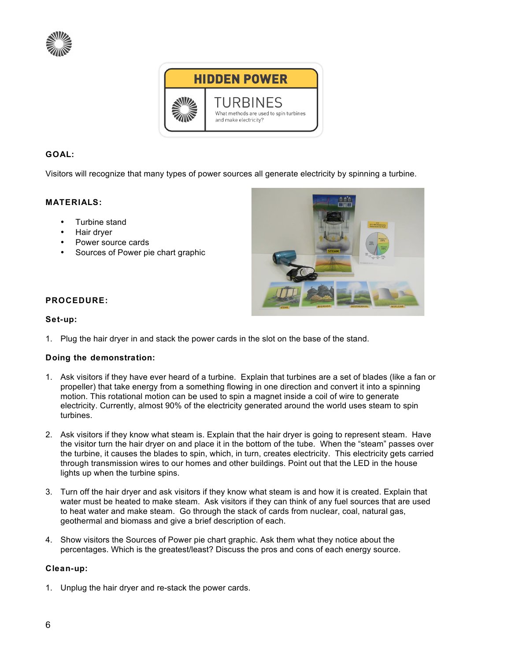



## **GOAL:**

Visitors will recognize that many types of power sources all generate electricity by spinning a turbine.

### **MATERIALS:**

- Turbine stand
- Hair dryer
- Power source cards
- Sources of Power pie chart graphic



### **PROCEDURE:**

#### **Set-up:**

1. Plug the hair dryer in and stack the power cards in the slot on the base of the stand.

### **Doing the demonstration:**

- 1. Ask visitors if they have ever heard of a turbine. Explain that turbines are a set of blades (like a fan or propeller) that take energy from a something flowing in one direction and convert it into a spinning motion. This rotational motion can be used to spin a magnet inside a coil of wire to generate electricity. Currently, almost 90% of the electricity generated around the world uses steam to spin turbines.
- 2. Ask visitors if they know what steam is. Explain that the hair dryer is going to represent steam. Have the visitor turn the hair dryer on and place it in the bottom of the tube. When the "steam" passes over the turbine, it causes the blades to spin, which, in turn, creates electricity. This electricity gets carried through transmission wires to our homes and other buildings. Point out that the LED in the house lights up when the turbine spins.
- 3. Turn off the hair dryer and ask visitors if they know what steam is and how it is created. Explain that water must be heated to make steam. Ask visitors if they can think of any fuel sources that are used to heat water and make steam. Go through the stack of cards from nuclear, coal, natural gas, geothermal and biomass and give a brief description of each.
- 4. Show visitors the Sources of Power pie chart graphic. Ask them what they notice about the percentages. Which is the greatest/least? Discuss the pros and cons of each energy source.

### **Clean-up:**

1. Unplug the hair dryer and re-stack the power cards.